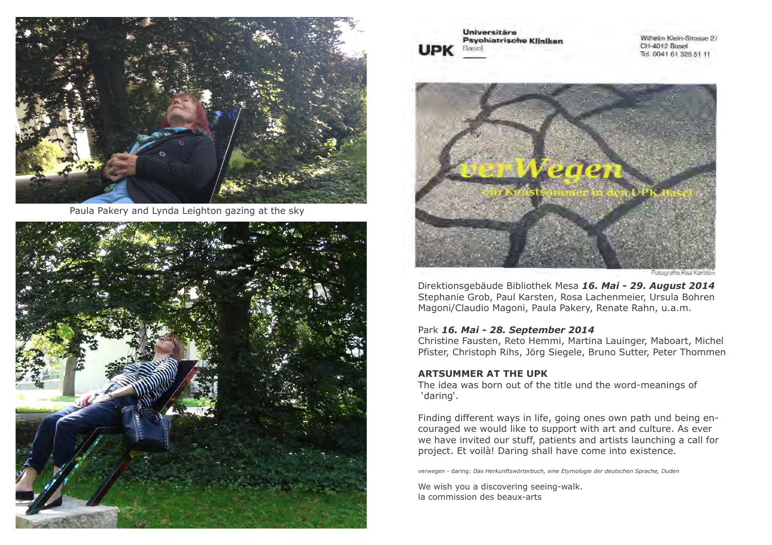

Paula Pakery and Lynda Leighton gazing at the sky



Universitäre Psychiatrische Kliniken Basel **IDK** 

Wilhelm Klein-Strasser 27 CH-4012 Basel Tel. 0041 61 325 51 11

![](_page_0_Picture_5.jpeg)

Direktionsgebäude Bibliothek Mesa *16. Mai - 29. August 2014* Stephanie Grob, Paul Karsten, Rosa Lachenmeier, Ursula Bohren Magoni/Claudio Magoni, Paula Pakery, Renate Rahn, u.a.m.

### Park *16. Mai - 28. September 2014*

Christine Fausten, Reto Hemmi, Martina Lauinger, Maboart, Michel Pfister, Christoph Rihs, Jörg Siegele, Bruno Sutter, Peter Thommen

### **ARTSUMMER AT THE UPK**

The idea was born out of the title und the word-meanings of 'daring'.

Finding different ways in life, going ones own path und being encouraged we would like to support with art and culture. As ever we have invited our stuff, patients and artists launching a call for project. Et voilà! Daring shall have come into existence.

verwegen - daring: *Das Herkunftswörterbuch, eine Etymologie der deutschen Sprache, Duden*

We wish you a discovering seeing-walk. la commission des beaux-arts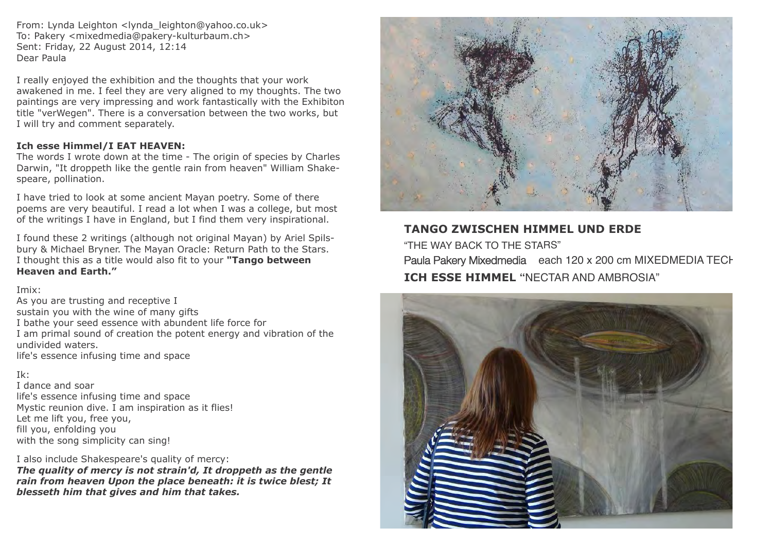From: Lynda Leighton <lynda\_leighton@yahoo.co.uk> To: Pakery <mixedmedia@pakery-kulturbaum.ch> Sent: Friday, 22 August 2014, 12:14 Dear Paula

I really enjoyed the exhibition and the thoughts that your work awakened in me. I feel they are very aligned to my thoughts. The two paintings are very impressing and work fantastically with the Exhibiton title "verWegen". There is a conversation between the two works, but I will try and comment separately.

## **Ich esse Himmel/I EAT HEAVEN:**

The words I wrote down at the time - The origin of species by Charles Darwin, "It droppeth like the gentle rain from heaven" William Shakespeare, pollination.

I have tried to look at some ancient Mayan poetry. Some of there poems are very beautiful. I read a lot when I was a college, but most of the writings I have in England, but I find them very inspirational.

I found these 2 writings (although not original Mayan) by Ariel Spilsbury & Michael Bryner. The Mayan Oracle: Return Path to the Stars. I thought this as a title would also fit to your **"Tango between Heaven and Earth."**

Imix:

As you are trusting and receptive I sustain you with the wine of many gifts I bathe your seed essence with abundent life force for I am primal sound of creation the potent energy and vibration of the undivided waters. life's essence infusing time and space

## Ik:

I dance and soar life's essence infusing time and space Mystic reunion dive. I am inspiration as it flies! Let me lift you, free you, fill you, enfolding you with the song simplicity can sing!

I also include Shakespeare's quality of mercy:

*The quality of mercy is not strain'd, It droppeth as the gentle rain from heaven Upon the place beneath: it is twice blest; It blesseth him that gives and him that takes.*

![](_page_1_Picture_12.jpeg)

**TANGO ZWISCHEN HIMMEL UND ERDE** "THE WAY BACK TO THE STARS" Paula Pakery Mixedmedia each 120 x 200 cm MIXEDMEDIA TECH **ICH ESSE HIMMEL "**NECTAR AND AMBROSIA"

![](_page_1_Picture_14.jpeg)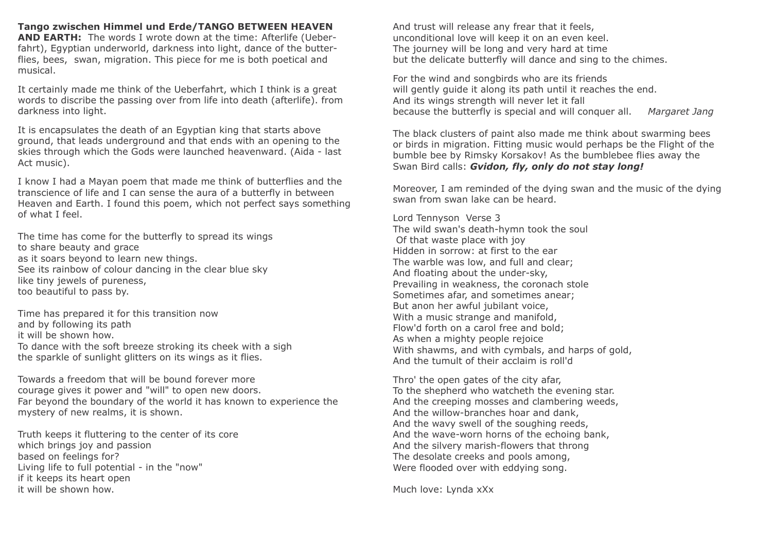**Tango zwischen Himmel und Erde/TANGO BETWEEN HEAVEN AND EARTH:** The words I wrote down at the time: Afterlife (Ueberfahrt), Egyptian underworld, darkness into light, dance of the butterflies, bees, swan, migration. This piece for me is both poetical and musical.

It certainly made me think of the Ueberfahrt, which I think is a great words to discribe the passing over from life into death (afterlife). from darkness into light.

It is encapsulates the death of an Egyptian king that starts above ground, that leads underground and that ends with an opening to the skies through which the Gods were launched heavenward. (Aida - last Act music).

I know I had a Mayan poem that made me think of butterflies and the transcience of life and I can sense the aura of a butterfly in between Heaven and Earth. I found this poem, which not perfect says something of what I feel.

The time has come for the butterfly to spread its wings to share beauty and grace as it soars beyond to learn new things. See its rainbow of colour dancing in the clear blue sky like tiny jewels of pureness, too beautiful to pass by.

Time has prepared it for this transition now and by following its path it will be shown how. To dance with the soft breeze stroking its cheek with a sigh the sparkle of sunlight glitters on its wings as it flies.

Towards a freedom that will be bound forever more courage gives it power and "will" to open new doors. Far beyond the boundary of the world it has known to experience the mystery of new realms, it is shown.

Truth keeps it fluttering to the center of its core which brings joy and passion based on feelings for? Living life to full potential - in the "now" if it keeps its heart open it will be shown how.

And trust will release any frear that it feels, unconditional love will keep it on an even keel. The journey will be long and very hard at time but the delicate butterfly will dance and sing to the chimes.

For the wind and songbirds who are its friends will gently guide it along its path until it reaches the end. And its wings strength will never let it fall because the butterfly is special and will conquer all. *Margaret Jang*

The black clusters of paint also made me think about swarming bees or birds in migration. Fitting music would perhaps be the Flight of the bumble bee by Rimsky Korsakov! As the bumblebee flies away the Swan Bird calls: *Gvidon, fly, only do not stay long!*

Moreover, I am reminded of the dying swan and the music of the dying swan from swan lake can be heard.

Lord Tennyson Verse 3 The wild swan's death-hymn took the soul Of that waste place with joy Hidden in sorrow: at first to the ear The warble was low, and full and clear; And floating about the under-sky, Prevailing in weakness, the coronach stole Sometimes afar, and sometimes anear; But anon her awful jubilant voice, With a music strange and manifold, Flow'd forth on a carol free and bold; As when a mighty people rejoice With shawms, and with cymbals, and harps of gold, And the tumult of their acclaim is roll'd

Thro' the open gates of the city afar, To the shepherd who watcheth the evening star. And the creeping mosses and clambering weeds, And the willow-branches hoar and dank, And the wavy swell of the soughing reeds, And the wave-worn horns of the echoing bank, And the silvery marish-flowers that throng The desolate creeks and pools among, Were flooded over with eddying song.

Much love: Lynda xXx